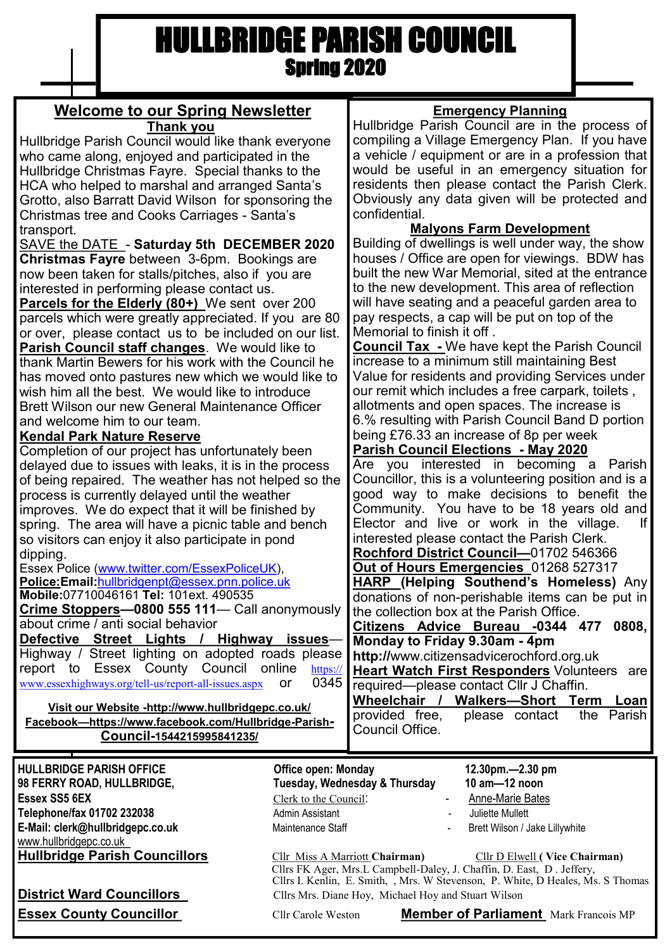## HULLBRIDGE PARISH COUNCIL Spring 2020

| <b>Welcome to our Spring Newsletter</b>                                                                                                                                                                                                                                                                                                                                                                                                                                                                                                                                                                                                                                                                                                                                         | <b>Emergency Planning</b>                                                                                                                                                                                                                                                                                                                                                                                                                                                                                                                                                                                                                                                                             |
|---------------------------------------------------------------------------------------------------------------------------------------------------------------------------------------------------------------------------------------------------------------------------------------------------------------------------------------------------------------------------------------------------------------------------------------------------------------------------------------------------------------------------------------------------------------------------------------------------------------------------------------------------------------------------------------------------------------------------------------------------------------------------------|-------------------------------------------------------------------------------------------------------------------------------------------------------------------------------------------------------------------------------------------------------------------------------------------------------------------------------------------------------------------------------------------------------------------------------------------------------------------------------------------------------------------------------------------------------------------------------------------------------------------------------------------------------------------------------------------------------|
| Th <u>ank you</u>                                                                                                                                                                                                                                                                                                                                                                                                                                                                                                                                                                                                                                                                                                                                                               | Hullbridge Parish Council are in the process of                                                                                                                                                                                                                                                                                                                                                                                                                                                                                                                                                                                                                                                       |
| Hullbridge Parish Council would like thank everyone                                                                                                                                                                                                                                                                                                                                                                                                                                                                                                                                                                                                                                                                                                                             | compiling a Village Emergency Plan. If you have                                                                                                                                                                                                                                                                                                                                                                                                                                                                                                                                                                                                                                                       |
| who came along, enjoyed and participated in the                                                                                                                                                                                                                                                                                                                                                                                                                                                                                                                                                                                                                                                                                                                                 | a vehicle / equipment or are in a profession that                                                                                                                                                                                                                                                                                                                                                                                                                                                                                                                                                                                                                                                     |
| Hullbridge Christmas Fayre. Special thanks to the                                                                                                                                                                                                                                                                                                                                                                                                                                                                                                                                                                                                                                                                                                                               | would be useful in an emergency situation for                                                                                                                                                                                                                                                                                                                                                                                                                                                                                                                                                                                                                                                         |
| HCA who helped to marshal and arranged Santa's                                                                                                                                                                                                                                                                                                                                                                                                                                                                                                                                                                                                                                                                                                                                  | residents then please contact the Parish Clerk.                                                                                                                                                                                                                                                                                                                                                                                                                                                                                                                                                                                                                                                       |
| Grotto, also Barratt David Wilson for sponsoring the                                                                                                                                                                                                                                                                                                                                                                                                                                                                                                                                                                                                                                                                                                                            | Obviously any data given will be protected and                                                                                                                                                                                                                                                                                                                                                                                                                                                                                                                                                                                                                                                        |
| Christmas tree and Cooks Carriages - Santa's                                                                                                                                                                                                                                                                                                                                                                                                                                                                                                                                                                                                                                                                                                                                    | confidential.                                                                                                                                                                                                                                                                                                                                                                                                                                                                                                                                                                                                                                                                                         |
| transport.                                                                                                                                                                                                                                                                                                                                                                                                                                                                                                                                                                                                                                                                                                                                                                      | <b>Malyons Farm Development</b>                                                                                                                                                                                                                                                                                                                                                                                                                                                                                                                                                                                                                                                                       |
| SAVE the DATE - Saturday 5th DECEMBER 2020                                                                                                                                                                                                                                                                                                                                                                                                                                                                                                                                                                                                                                                                                                                                      | Building of dwellings is well under way, the show                                                                                                                                                                                                                                                                                                                                                                                                                                                                                                                                                                                                                                                     |
| <b>Christmas Fayre between 3-6pm. Bookings are</b>                                                                                                                                                                                                                                                                                                                                                                                                                                                                                                                                                                                                                                                                                                                              | houses / Office are open for viewings. BDW has                                                                                                                                                                                                                                                                                                                                                                                                                                                                                                                                                                                                                                                        |
| now been taken for stalls/pitches, also if you are                                                                                                                                                                                                                                                                                                                                                                                                                                                                                                                                                                                                                                                                                                                              | built the new War Memorial, sited at the entrance                                                                                                                                                                                                                                                                                                                                                                                                                                                                                                                                                                                                                                                     |
| interested in performing please contact us.                                                                                                                                                                                                                                                                                                                                                                                                                                                                                                                                                                                                                                                                                                                                     | to the new development. This area of reflection                                                                                                                                                                                                                                                                                                                                                                                                                                                                                                                                                                                                                                                       |
| <b>Parcels for the Elderly (80+)</b> We sent over 200                                                                                                                                                                                                                                                                                                                                                                                                                                                                                                                                                                                                                                                                                                                           | will have seating and a peaceful garden area to                                                                                                                                                                                                                                                                                                                                                                                                                                                                                                                                                                                                                                                       |
| parcels which were greatly appreciated. If you are 80                                                                                                                                                                                                                                                                                                                                                                                                                                                                                                                                                                                                                                                                                                                           | pay respects, a cap will be put on top of the                                                                                                                                                                                                                                                                                                                                                                                                                                                                                                                                                                                                                                                         |
| or over, please contact us to be included on our list.                                                                                                                                                                                                                                                                                                                                                                                                                                                                                                                                                                                                                                                                                                                          | Memorial to finish it off.                                                                                                                                                                                                                                                                                                                                                                                                                                                                                                                                                                                                                                                                            |
| <b>Parish Council staff changes</b> . We would like to                                                                                                                                                                                                                                                                                                                                                                                                                                                                                                                                                                                                                                                                                                                          | <b>Council Tax</b> - We have kept the Parish Council                                                                                                                                                                                                                                                                                                                                                                                                                                                                                                                                                                                                                                                  |
| thank Martin Bewers for his work with the Council he                                                                                                                                                                                                                                                                                                                                                                                                                                                                                                                                                                                                                                                                                                                            | increase to a minimum still maintaining Best                                                                                                                                                                                                                                                                                                                                                                                                                                                                                                                                                                                                                                                          |
| has moved onto pastures new which we would like to                                                                                                                                                                                                                                                                                                                                                                                                                                                                                                                                                                                                                                                                                                                              | Value for residents and providing Services under                                                                                                                                                                                                                                                                                                                                                                                                                                                                                                                                                                                                                                                      |
| wish him all the best. We would like to introduce                                                                                                                                                                                                                                                                                                                                                                                                                                                                                                                                                                                                                                                                                                                               | our remit which includes a free carpark, toilets ,                                                                                                                                                                                                                                                                                                                                                                                                                                                                                                                                                                                                                                                    |
| Brett Wilson our new General Maintenance Officer                                                                                                                                                                                                                                                                                                                                                                                                                                                                                                                                                                                                                                                                                                                                | allotments and open spaces. The increase is                                                                                                                                                                                                                                                                                                                                                                                                                                                                                                                                                                                                                                                           |
| and welcome him to our team.                                                                                                                                                                                                                                                                                                                                                                                                                                                                                                                                                                                                                                                                                                                                                    | 6.% resulting with Parish Council Band D portion                                                                                                                                                                                                                                                                                                                                                                                                                                                                                                                                                                                                                                                      |
| <b>Kendal Park Nature Reserve</b><br>Completion of our project has unfortunately been<br>delayed due to issues with leaks, it is in the process<br>of being repaired. The weather has not helped so the<br>process is currently delayed until the weather<br>improves. We do expect that it will be finished by<br>spring. The area will have a picnic table and bench<br>so visitors can enjoy it also participate in pond<br>dipping.<br>Essex Police (www.twitter.com/EssexPoliceUK),<br>Police: Email: hullbridgenpt@essex.pnn.police.uk<br>Mobile:07710046161 Tel: 101ext. 490535<br>Crime Stoppers-0800 555 111- Call anonymously<br>about crime / anti social behavior<br>Defective Street Lights / Highway issues-<br>Highway / Street lighting on adopted roads please | being £76.33 an increase of 8p per week<br><b>Parish Council Elections - May 2020</b><br>Are you interested in becoming a Parish<br>Councillor, this is a volunteering position and is a<br>good way to make decisions to benefit the<br>Community. You have to be 18 years old and<br>Elector and live or work in the village.<br>lf<br>interested please contact the Parish Clerk.<br>Rochford District Council-01702 546366<br>Out of Hours Emergencies 01268 527317<br><b>HARP (Helping Southend's Homeless)</b> Any<br>donations of non-perishable items can be put in<br>the collection box at the Parish Office.<br>Citizens Advice Bureau -0344 477<br>0808,<br>Monday to Friday 9.30am - 4pm |
| report to Essex County Council online                                                                                                                                                                                                                                                                                                                                                                                                                                                                                                                                                                                                                                                                                                                                           | http://www.citizensadvicerochford.org.uk                                                                                                                                                                                                                                                                                                                                                                                                                                                                                                                                                                                                                                                              |
| https://                                                                                                                                                                                                                                                                                                                                                                                                                                                                                                                                                                                                                                                                                                                                                                        | <b>Heart Watch First Responders Volunteers</b>                                                                                                                                                                                                                                                                                                                                                                                                                                                                                                                                                                                                                                                        |
| 0345                                                                                                                                                                                                                                                                                                                                                                                                                                                                                                                                                                                                                                                                                                                                                                            | are                                                                                                                                                                                                                                                                                                                                                                                                                                                                                                                                                                                                                                                                                                   |
| www.essexhighways.org/tell-us/report-all-issues.aspx                                                                                                                                                                                                                                                                                                                                                                                                                                                                                                                                                                                                                                                                                                                            | required—please contact Cllr J Chaffin.                                                                                                                                                                                                                                                                                                                                                                                                                                                                                                                                                                                                                                                               |
| <b>or</b>                                                                                                                                                                                                                                                                                                                                                                                                                                                                                                                                                                                                                                                                                                                                                                       | Wheelchair / Walkers-Short Term Loan                                                                                                                                                                                                                                                                                                                                                                                                                                                                                                                                                                                                                                                                  |
| Visit our Website -http://www.hullbridgepc.co.uk/                                                                                                                                                                                                                                                                                                                                                                                                                                                                                                                                                                                                                                                                                                                               | provided free,                                                                                                                                                                                                                                                                                                                                                                                                                                                                                                                                                                                                                                                                                        |
| Facebook-https://www.facebook.com/Hullbridge-Parish-                                                                                                                                                                                                                                                                                                                                                                                                                                                                                                                                                                                                                                                                                                                            | please contact                                                                                                                                                                                                                                                                                                                                                                                                                                                                                                                                                                                                                                                                                        |
| Council-1544215995841235/                                                                                                                                                                                                                                                                                                                                                                                                                                                                                                                                                                                                                                                                                                                                                       | the Parish                                                                                                                                                                                                                                                                                                                                                                                                                                                                                                                                                                                                                                                                                            |
| <b>HULLBRIDGE PARISH OFFICE</b>                                                                                                                                                                                                                                                                                                                                                                                                                                                                                                                                                                                                                                                                                                                                                 | Council Office.                                                                                                                                                                                                                                                                                                                                                                                                                                                                                                                                                                                                                                                                                       |
| <b>Office open: Monday</b>                                                                                                                                                                                                                                                                                                                                                                                                                                                                                                                                                                                                                                                                                                                                                      | 12.30pm.-2.30 pm                                                                                                                                                                                                                                                                                                                                                                                                                                                                                                                                                                                                                                                                                      |
| 98 FERRY ROAD, HULLBRIDGE,<br>Essex SS5 6EX<br>Clerk to the Council:<br>Telephone/fax 01702 232038<br>Admin Assistant                                                                                                                                                                                                                                                                                                                                                                                                                                                                                                                                                                                                                                                           | 10 am-12 noon<br>Tuesday, Wednesday & Thursday<br><b>Anne-Marie Bates</b><br>Juliette Mullett                                                                                                                                                                                                                                                                                                                                                                                                                                                                                                                                                                                                         |

E-Mail: clerk@hullbridgepc.co.uk Maintenance Staff - Brett Wilson / Jake Lillywhite

**Hullbridge Parish Councillors** Cllr Miss A Marriott **Chairman)** Cllr D Elwell **( Vice Chairman)**

 Cllrs FK Ager, Mrs.L Campbell-Daley, J. Chaffin, D. East, D . Jeffery, Cllrs I. Kenlin, E. Smith, , Mrs. W Stevenson, P. White, D Heales, Ms. S Thomas **District Ward Councillors** Cllrs Mrs. Diane Hoy, Michael Hoy and Stuart Wilson

www.hullbridgepc.co.uk<br>Hullbridge Parish Councillors

**Essex County Councillor Cllr Carole Weston Member of Parliament** Mark Francois MP